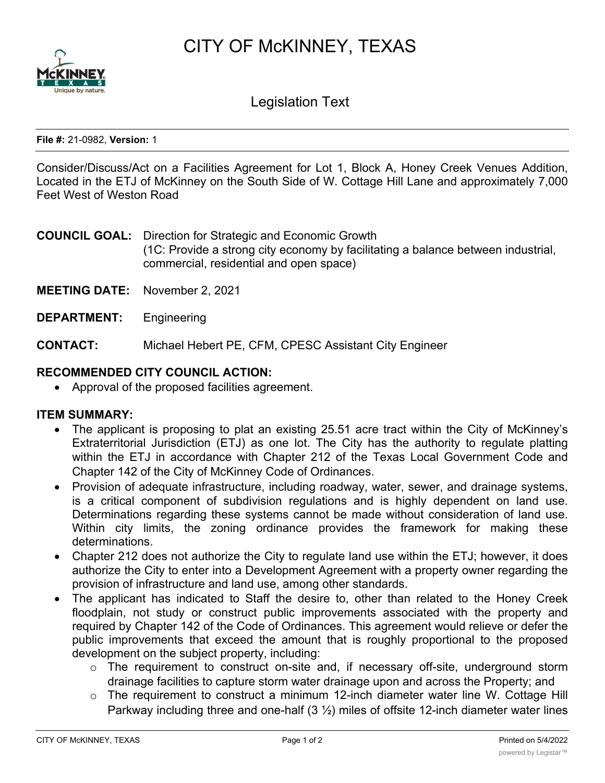CITY OF McKINNEY, TEXAS



Legislation Text

#### **File #:** 21-0982, **Version:** 1

Consider/Discuss/Act on a Facilities Agreement for Lot 1, Block A, Honey Creek Venues Addition, Located in the ETJ of McKinney on the South Side of W. Cottage Hill Lane and approximately 7,000 Feet West of Weston Road

**COUNCIL GOAL:** Direction for Strategic and Economic Growth (1C: Provide a strong city economy by facilitating a balance between industrial, commercial, residential and open space)

- **MEETING DATE:** November 2, 2021
- **DEPARTMENT:** Engineering

**CONTACT:** Michael Hebert PE, CFM, CPESC Assistant City Engineer

### **RECOMMENDED CITY COUNCIL ACTION:**

· Approval of the proposed facilities agreement.

### **ITEM SUMMARY:**

- · The applicant is proposing to plat an existing 25.51 acre tract within the City of McKinney's Extraterritorial Jurisdiction (ETJ) as one lot. The City has the authority to regulate platting within the ETJ in accordance with Chapter 212 of the Texas Local Government Code and Chapter 142 of the City of McKinney Code of Ordinances.
- · Provision of adequate infrastructure, including roadway, water, sewer, and drainage systems, is a critical component of subdivision regulations and is highly dependent on land use. Determinations regarding these systems cannot be made without consideration of land use. Within city limits, the zoning ordinance provides the framework for making these determinations.
- Chapter 212 does not authorize the City to regulate land use within the ETJ; however, it does authorize the City to enter into a Development Agreement with a property owner regarding the provision of infrastructure and land use, among other standards.
- · The applicant has indicated to Staff the desire to, other than related to the Honey Creek floodplain, not study or construct public improvements associated with the property and required by Chapter 142 of the Code of Ordinances. This agreement would relieve or defer the public improvements that exceed the amount that is roughly proportional to the proposed development on the subject property, including:
	- o The requirement to construct on-site and, if necessary off-site, underground storm drainage facilities to capture storm water drainage upon and across the Property; and
	- $\circ$  The requirement to construct a minimum 12-inch diameter water line W. Cottage Hill Parkway including three and one-half  $(3 \frac{1}{2})$  miles of offsite 12-inch diameter water lines

and appurtenances capable of supplying adequate domestic and fire flow to and fire flow to and fire flow to an